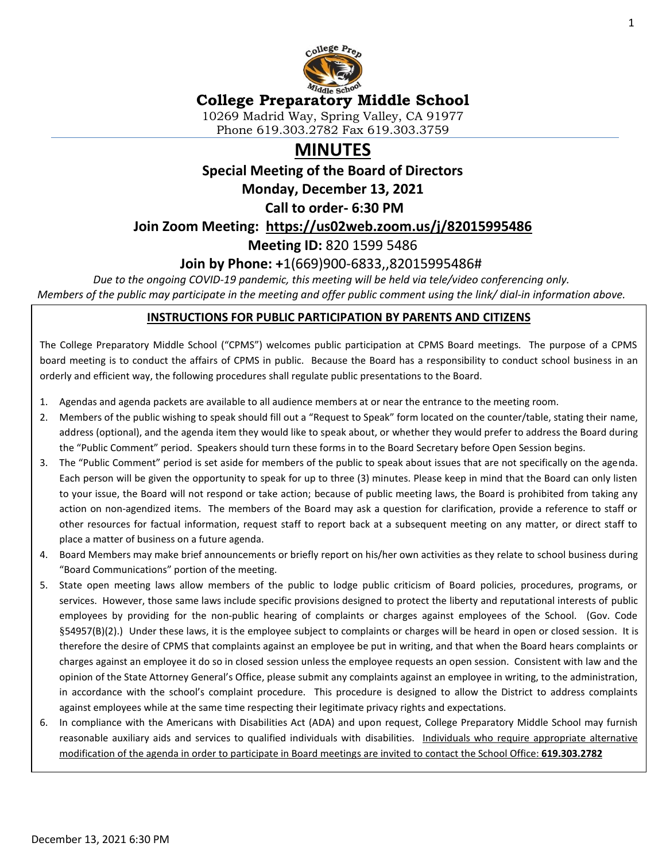

### **College Preparatory Middle School**

10269 Madrid Way, Spring Valley, CA 91977 Phone 619.303.2782 Fax 619.303.3759

# **MINUTES**

**Special Meeting of the Board of Directors**

**Monday, December 13, 2021**

**Call to order- 6:30 PM** 

**Join Zoom Meeting: <https://us02web.zoom.us/j/82015995486>**

**Meeting ID:** 820 1599 5486

### **Join by Phone: +**1(669)900-6833,,82015995486#

*Due to the ongoing COVID-19 pandemic, this meeting will be held via tele/video conferencing only. Members of the public may participate in the meeting and offer public comment using the link/ dial-in information above.*

#### **INSTRUCTIONS FOR PUBLIC PARTICIPATION BY PARENTS AND CITIZENS**

The College Preparatory Middle School ("CPMS") welcomes public participation at CPMS Board meetings. The purpose of a CPMS board meeting is to conduct the affairs of CPMS in public. Because the Board has a responsibility to conduct school business in an orderly and efficient way, the following procedures shall regulate public presentations to the Board.

- 1. Agendas and agenda packets are available to all audience members at or near the entrance to the meeting room.
- 2. Members of the public wishing to speak should fill out a "Request to Speak" form located on the counter/table, stating their name, address (optional), and the agenda item they would like to speak about, or whether they would prefer to address the Board during the "Public Comment" period. Speakers should turn these forms in to the Board Secretary before Open Session begins.
- 3. The "Public Comment" period is set aside for members of the public to speak about issues that are not specifically on the agenda. Each person will be given the opportunity to speak for up to three (3) minutes. Please keep in mind that the Board can only listen to your issue, the Board will not respond or take action; because of public meeting laws, the Board is prohibited from taking any action on non-agendized items. The members of the Board may ask a question for clarification, provide a reference to staff or other resources for factual information, request staff to report back at a subsequent meeting on any matter, or direct staff to place a matter of business on a future agenda.
- 4. Board Members may make brief announcements or briefly report on his/her own activities as they relate to school business during "Board Communications" portion of the meeting.
- 5. State open meeting laws allow members of the public to lodge public criticism of Board policies, procedures, programs, or services. However, those same laws include specific provisions designed to protect the liberty and reputational interests of public employees by providing for the non-public hearing of complaints or charges against employees of the School. (Gov. Code §54957(B)(2).) Under these laws, it is the employee subject to complaints or charges will be heard in open or closed session. It is therefore the desire of CPMS that complaints against an employee be put in writing, and that when the Board hears complaints or charges against an employee it do so in closed session unless the employee requests an open session. Consistent with law and the opinion of the State Attorney General's Office, please submit any complaints against an employee in writing, to the administration, in accordance with the school's complaint procedure. This procedure is designed to allow the District to address complaints against employees while at the same time respecting their legitimate privacy rights and expectations.
- 6. In compliance with the Americans with Disabilities Act (ADA) and upon request, College Preparatory Middle School may furnish reasonable auxiliary aids and services to qualified individuals with disabilities. Individuals who require appropriate alternative modification of the agenda in order to participate in Board meetings are invited to contact the School Office: **619.303.2782**